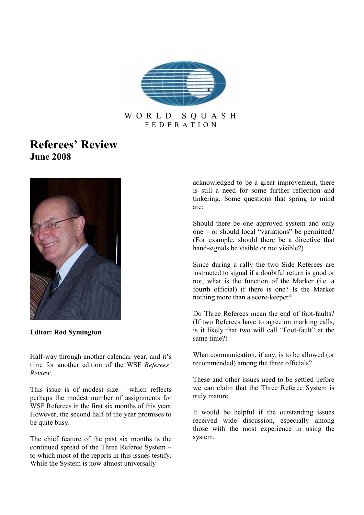

### W O R L D S Q U A S H F E D E R A T I O N

# Referees' Review June 2008



Editor: Rod Symington

Half-way through another calendar year, and it's time for another edition of the WSF Referees' Review.

This issue is of modest size – which reflects perhaps the modest number of assignments for WSF Referees in the first six months of this year. However, the second half of the year promises to be quite busy.

The chief feature of the past six months is the continued spread of the Three Referee System – to which most of the reports in this issues testify. While the System is now almost universally

acknowledged to be a great improvement, there is still a need for some further reflection and tinkering. Some questions that spring to mind are:

Should there be one approved system and only one – or should local "variations" be permitted? (For example, should there be a directive that hand-signals be visible or not visible?)

Since during a rally the two Side Referees are instructed to signal if a doubtful return is good or not, what is the function of the Marker (i.e. a fourth official) if there is one? Is the Marker nothing more than a score-keeper?

Do Three Referees mean the end of foot-faults? (If two Referees have to agree on marking calls, is it likely that two will call "Foot-fault" at the same time?)

What communication, if any, is to be allowed (or recommended) among the three officials?

These and other issues need to be settled before we can claim that the Three Referee System is truly mature.

It would be helpful if the outstanding issues received wide discussion, especially among those with the most experience in using the system.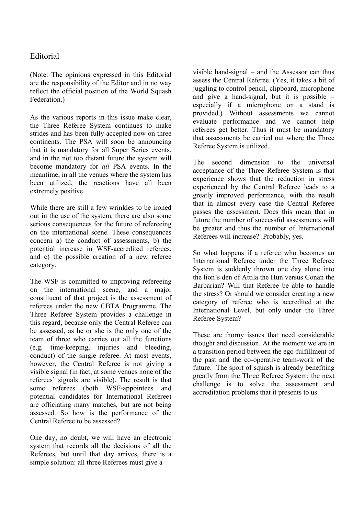## Editorial

(Note: The opinions expressed in this Editorial are the responsibility of the Editor and in no way reflect the official position of the World Squash Federation.)

As the various reports in this issue make clear, the Three Referee System continues to make strides and has been fully accepted now on three continents. The PSA will soon be announcing that it is mandatory for all Super Series events, and in the not too distant future the system will become mandatory for all PSA events. In the meantime, in all the venues where the system has been utilized, the reactions have all been extremely positive.

While there are still a few wrinkles to be ironed out in the use of the system, there are also some serious consequences for the future of refereeing on the international scene. These consequences concern a) the conduct of assessments, b) the potential increase in WSF-accredited referees, and c) the possible creation of a new referee category.

The WSF is committed to improving refereeing on the international scene, and a major constituent of that project is the assessment of referees under the new CBTA Programme. The Three Referee System provides a challenge in this regard, because only the Central Referee can be assessed, as he or she is the only one of the team of three who carries out all the functions (e.g. time-keeping, injuries and bleeding, conduct) of the single referee. At most events, however, the Central Referee is not giving a visible signal (in fact, at some venues none of the referees' signals are visible). The result is that some referees (both WSF-appointees and potential candidates for International Referee) are officiating many matches, but are not being assessed. So how is the performance of the Central Referee to be assessed?

One day, no doubt, we will have an electronic system that records all the decisions of all the Referees, but until that day arrives, there is a simple solution: all three Referees must give a

visible hand-signal – and the Assessor can thus assess the Central Referee. (Yes, it takes a bit of juggling to control pencil, clipboard, microphone and give a hand-signal, but it is possible – especially if a microphone on a stand is provided.) Without assessments we cannot evaluate performance and we cannot help referees get better. Thus it must be mandatory that assessments be carried out where the Three Referee System is utilized.

The second dimension to the universal acceptance of the Three Referee System is that experience shows that the reduction in stress experienced by the Central Referee leads to a greatly improved performance, with the result that in almost every case the Central Referee passes the assessment. Does this mean that in future the number of successful assessments will be greater and thus the number of International Referees will increase? :Probably, yes.

So what happens if a referee who becomes an International Referee under the Three Referee System is suddenly thrown one day alone into the lion's den of Attila the Hun versus Conan the Barbarian? Will that Referee be able to handle the stress? Or should we consider creating a new category of referee who is accredited at the International Level, but only under the Three Referee System?

These are thorny issues that need considerable thought and discussion. At the moment we are in a transition period between the ego-fulfillment of the past and the co-operative team-work of the future. The sport of squash is already benefiting greatly from the Three Referee System: the next challenge is to solve the assessment and accreditation problems that it presents to us.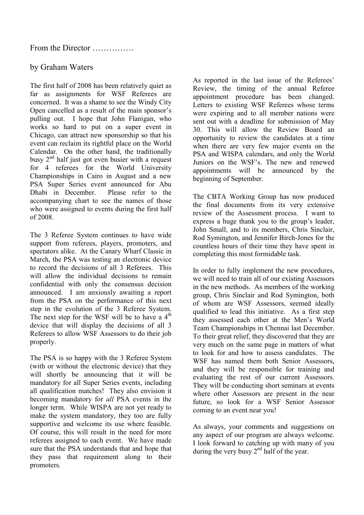# by Graham Waters

The first half of 2008 has been relatively quiet as far as assignments for WSF Referees are concerned. It was a shame to see the Windy City Open cancelled as a result of the main sponsor's pulling out. I hope that John Flanigan, who works so hard to put on a super event in Chicago, can attract new sponsorship so that his event can reclaim its rightful place on the World Calendar. On the other hand, the traditionally busy  $2<sup>nd</sup>$  half just got even busier with a request for 4 referees for the World University Championships in Cairo in August and a new PSA Super Series event announced for Abu Dhabi in December. Please refer to the accompanying chart to see the names of those who were assigned to events during the first half of 2008.

The 3 Referee System continues to have wide support from referees, players, promoters, and spectators alike. At the Canary Wharf Classic in March, the PSA was testing an electronic device to record the decisions of all 3 Referees. This will allow the individual decisions to remain confidential with only the consensus decision announced. I am anxiously awaiting a report from the PSA on the performance of this next step in the evolution of the 3 Referee System. The next step for the WSF will be to have a  $4<sup>th</sup>$ device that will display the decisions of all 3 Referees to allow WSF Assessors to do their job properly.

The PSA is so happy with the 3 Referee System (with or without the electronic device) that they will shortly be announcing that it will be mandatory for all Super Series events, including all qualification matches! They also envision it becoming mandatory for all PSA events in the longer term. While WISPA are not yet ready to make the system mandatory, they too are fully supportive and welcome its use where feasible. Of course, this will result in the need for more referees assigned to each event. We have made sure that the PSA understands that and hope that they pass that requirement along to their promoters.

As reported in the last issue of the Referees' Review, the timing of the annual Referee appointment procedure has been changed. Letters to existing WSF Referees whose terms were expiring and to all member nations were sent out with a deadline for submission of May 30. This will allow the Review Board an opportunity to review the candidates at a time when there are very few major events on the PSA and WISPA calendars, and only the World Juniors on the WSF's. The new and renewed appointments will be announced by the beginning of September.

The CBTA Working Group has now produced the final documents from its very extensive review of the Assessment process. I want to express a huge thank you to the group's leader, John Small, and to its members, Chris Sinclair, Rod Symington, and Jennifer Birch-Jones for the countless hours of their time they have spent in completing this most formidable task.

In order to fully implement the new procedures, we will need to train all of our existing Assessors in the new methods. As members of the working group, Chris Sinclair and Rod Symington, both of whom are WSF Assessors, seemed ideally qualified to lead this initiative. As a first step they assessed each other at the Men's World Team Championships in Chennai last December. To their great relief, they discovered that they are very much on the same page in matters of what to look for and how to assess candidates. The WSF has named them both Senior Assessors, and they will be responsible for training and evaluating the rest of our current Assessors. They will be conducting short seminars at events where other Assessors are present in the near future, so look for a WSF Senior Assessor coming to an event near you!

As always, your comments and suggestions on any aspect of our program are always welcome. I look forward to catching up with many of you during the very busy  $2<sup>nd</sup>$  half of the year.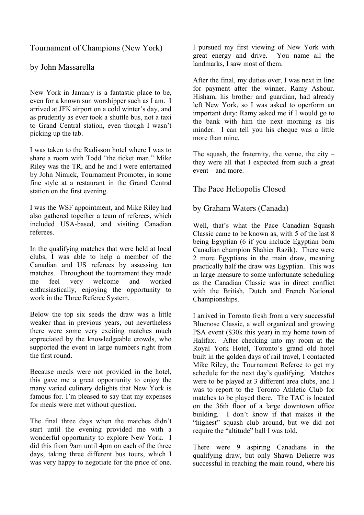Tournament of Champions (New York)

by John Massarella

New York in January is a fantastic place to be, even for a known sun worshipper such as I am. I arrived at JFK airport on a cold winter's day, and as prudently as ever took a shuttle bus, not a taxi to Grand Central station, even though I wasn't picking up the tab.

I was taken to the Radisson hotel where I was to share a room with Todd "the ticket man." Mike Riley was the TR, and he and I were entertained by John Nimick, Tournament Promoter, in some fine style at a restaurant in the Grand Central station on the first evening.

I was the WSF appointment, and Mike Riley had also gathered together a team of referees, which included USA-based, and visiting Canadian referees.

In the qualifying matches that were held at local clubs, I was able to help a member of the Canadian and US referees by assessing ten matches. Throughout the tournament they made me feel very welcome and worked enthusiastically, enjoying the opportunity to work in the Three Referee System.

Below the top six seeds the draw was a little weaker than in previous years, but nevertheless there were some very exciting matches much appreciated by the knowledgeable crowds, who supported the event in large numbers right from the first round.

Because meals were not provided in the hotel, this gave me a great opportunity to enjoy the many varied culinary delights that New York is famous for. I'm pleased to say that my expenses for meals were met without question.

The final three days when the matches didn't start until the evening provided me with a wonderful opportunity to explore New York. I did this from 9am until 4pm on each of the three days, taking three different bus tours, which I was very happy to negotiate for the price of one.

I pursued my first viewing of New York with great energy and drive. You name all the landmarks, I saw most of them.

After the final, my duties over, I was next in line for payment after the winner, Ramy Ashour. Hisham, his brother and guardian, had already left New York, so I was asked to operform an important duty: Ramy asked me if I would go to the bank with him the next morning as his minder. I can tell you his cheque was a little more than mine.

The squash, the fraternity, the venue, the city – they were all that I expected from such a great event – and more.

The Pace Heliopolis Closed

by Graham Waters (Canada)

Well, that's what the Pace Canadian Squash Classic came to be known as, with  $5$  of the last  $8$ being Egyptian (6 if you include Egyptian born Canadian champion Shahier Razik). There were 2 more Egyptians in the main draw, meaning practically half the draw was Egyptian. This was in large measure to some unfortunate scheduling as the Canadian Classic was in direct conflict with the British, Dutch and French National Championships.

I arrived in Toronto fresh from a very successful Bluenose Classic, a well organized and growing PSA event (\$30k this year) in my home town of Halifax. After checking into my room at the Royal York Hotel, Toronto's grand old hotel built in the golden days of rail travel, I contacted Mike Riley, the Tournament Referee to get my schedule for the next day's qualifying. Matches were to be played at 3 different area clubs, and I was to report to the Toronto Athletic Club for matches to be played there. The TAC is located on the 36th floor of a large downtown office building. I don't know if that makes it the "highest" squash club around, but we did not require the "altitude" ball I was told.

There were 9 aspiring Canadians in the qualifying draw, but only Shawn Delierre was successful in reaching the main round, where his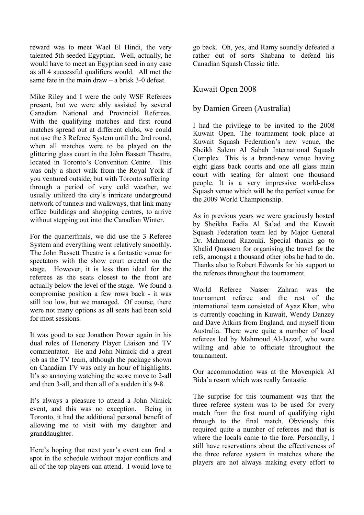reward was to meet Wael El Hindi, the very talented 5th seeded Egyptian. Well, actually, he would have to meet an Egyptian seed in any case as all 4 successful qualifiers would. All met the same fate in the main draw – a brisk 3-0 defeat.

Mike Riley and I were the only WSF Referees present, but we were ably assisted by several Canadian National and Provincial Referees. With the qualifying matches and first round matches spread out at different clubs, we could not use the 3 Referee System until the 2nd round, when all matches were to be played on the glittering glass court in the John Bassett Theatre, located in Toronto's Convention Centre. This was only a short walk from the Royal York if you ventured outside, but with Toronto suffering through a period of very cold weather, we usually utilized the city's intricate underground network of tunnels and walkways, that link many office buildings and shopping centres, to arrive without stepping out into the Canadian Winter.

For the quarterfinals, we did use the 3 Referee System and everything went relatively smoothly. The John Bassett Theatre is a fantastic venue for spectators with the show court erected on the stage. However, it is less than ideal for the referees as the seats closest to the front are actually below the level of the stage. We found a compromise position a few rows back - it was still too low, but we managed. Of course, there were not many options as all seats had been sold for most sessions.

It was good to see Jonathon Power again in his dual roles of Honorary Player Liaison and TV commentator. He and John Nimick did a great job as the TV team, although the package shown on Canadian TV was only an hour of highlights. It's so annoying watching the score move to 2-all and then 3-all, and then all of a sudden it's 9-8.

It's always a pleasure to attend a John Nimick event, and this was no exception. Being in Toronto, it had the additional personal benefit of allowing me to visit with my daughter and granddaughter.

Here's hoping that next year's event can find a spot in the schedule without major conflicts and all of the top players can attend. I would love to go back. Oh, yes, and Ramy soundly defeated a rather out of sorts Shabana to defend his Canadian Squash Classic title.

## Kuwait Open 2008

## by Damien Green (Australia)

I had the privilege to be invited to the 2008 Kuwait Open. The tournament took place at Kuwait Squash Federation's new venue, the Sheikh Salem Al Sabah International Squash Complex. This is a brand-new venue having eight glass back courts and one all glass main court with seating for almost one thousand people. It is a very impressive world-class Squash venue which will be the perfect venue for the 2009 World Championship.

As in previous years we were graciously hosted by Sheikha Fadia Al Sa'ad and the Kuwait Squash Federation team led by Major General Dr. Mahmoud Razouki. Special thanks go to Khalid Quassem for organising the travel for the refs, amongst a thousand other jobs he had to do. Thanks also to Robert Edwards for his support to the referees throughout the tournament.

World Referee Nasser Zahran was the tournament referee and the rest of the international team consisted of Ayaz Khan, who is currently coaching in Kuwait, Wendy Danzey and Dave Atkins from England, and myself from Australia. There were quite a number of local referees led by Mahmoud Al-Jazzaf, who were willing and able to officiate throughout the tournament.

Our accommodation was at the Movenpick Al Bida'a resort which was really fantastic.

The surprise for this tournament was that the three referee system was to be used for every match from the first round of qualifying right through to the final match. Obviously this required quite a number of referees and that is where the locals came to the fore. Personally, I still have reservations about the effectiveness of the three referee system in matches where the players are not always making every effort to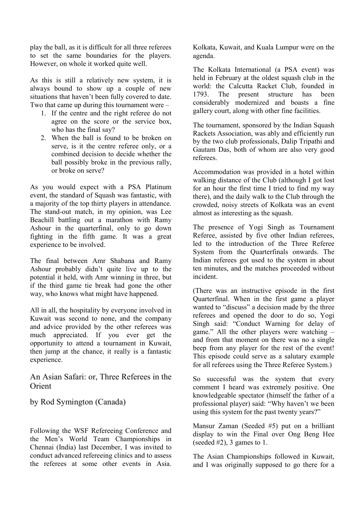play the ball, as it is difficult for all three referees to set the same boundaries for the players. However, on whole it worked quite well.

As this is still a relatively new system, it is always bound to show up a couple of new situations that haven't been fully covered to date. Two that came up during this tournament were –

- 1. If the centre and the right referee do not agree on the score or the service box, who has the final say?
- 2. When the ball is found to be broken on serve, is it the centre referee only, or a combined decision to decide whether the ball possibly broke in the previous rally, or broke on serve?

As you would expect with a PSA Platinum event, the standard of Squash was fantastic, with a majority of the top thirty players in attendance. The stand-out match, in my opinion, was Lee Beachill battling out a marathon with Ramy Ashour in the quarterfinal, only to go down fighting in the fifth game. It was a great experience to be involved.

The final between Amr Shabana and Ramy Ashour probably didn't quite live up to the potential it held, with Amr winning in three, but if the third game tie break had gone the other way, who knows what might have happened.

All in all, the hospitality by everyone involved in Kuwait was second to none, and the company and advice provided by the other referees was much appreciated. If you ever get the opportunity to attend a tournament in Kuwait, then jump at the chance, it really is a fantastic experience.

An Asian Safari: or, Three Referees in the **Orient** 

by Rod Symington (Canada)

Following the WSF Refereeing Conference and the Men's World Team Championships in Chennai (India) last December, I was invited to conduct advanced refereeing clinics and to assess the referees at some other events in Asia.

Kolkata, Kuwait, and Kuala Lumpur were on the agenda.

The Kolkata International (a PSA event) was held in February at the oldest squash club in the world: the Calcutta Racket Club, founded in 1793. The present structure has been considerably modernized and boasts a fine gallery court, along with other fine facilities.

The tournament, sponsored by the Indian Squash Rackets Association, was ably and efficiently run by the two club professionals, Dalip Tripathi and Gautam Das, both of whom are also very good referees.

Accommodation was provided in a hotel within walking distance of the Club (although I got lost for an hour the first time I tried to find my way there), and the daily walk to the Club through the crowded, noisy streets of Kolkata was an event almost as interesting as the squash.

The presence of Yogi Singh as Tournament Referee, assisted by five other Indian referees, led to the introduction of the Three Referee System from the Quarterfinals onwards. The Indian referees got used to the system in about ten minutes, and the matches proceeded without incident.

(There was an instructive episode in the first Quarterfinal. When in the first game a player wanted to "discuss" a decision made by the three referees and opened the door to do so, Yogi Singh said: "Conduct Warning for delay of game." All the other players were watching – and from that moment on there was no a single beep from any player for the rest of the event! This episode could serve as a salutary example for all referees using the Three Referee System.)

So successful was the system that every comment I heard was extremely positive. One knowledgeable spectator (himself the father of a professional player) said: "Why haven't we been using this system for the past twenty years?"

Mansur Zaman (Seeded #5) put on a brilliant display to win the Final over Ong Beng Hee (seeded  $#2$ ), 3 games to 1.

The Asian Championships followed in Kuwait, and I was originally supposed to go there for a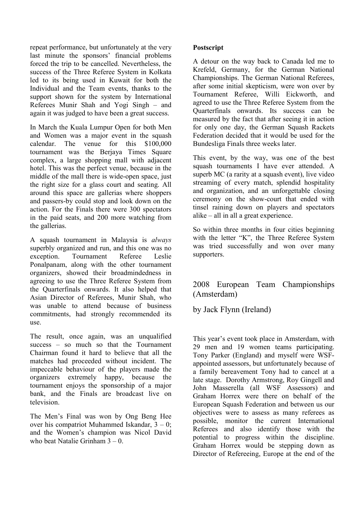repeat performance, but unfortunately at the very last minute the sponsors' financial problems forced the trip to be cancelled. Nevertheless, the success of the Three Referee System in Kolkata led to its being used in Kuwait for both the Individual and the Team events, thanks to the support shown for the system by International Referees Munir Shah and Yogi Singh – and again it was judged to have been a great success.

In March the Kuala Lumpur Open for both Men and Women was a major event in the squash calendar. The venue for this \$100,000 tournament was the Berjaya Times Square complex, a large shopping mall with adjacent hotel. This was the perfect venue, because in the middle of the mall there is wide-open space, just the right size for a glass court and seating. All around this space are gallerias where shoppers and passers-by could stop and look down on the action. For the Finals there were 300 spectators in the paid seats, and 200 more watching from the gallerias.

A squash tournament in Malaysia is always superbly organized and run, and this one was no exception. Tournament Referee Leslie Ponalpanam, along with the other tournament organizers, showed their broadmindedness in agreeing to use the Three Referee System from the Quarterfinals onwards. It also helped that Asian Director of Referees, Munir Shah, who was unable to attend because of business commitments, had strongly recommended its use.

The result, once again, was an unqualified success – so much so that the Tournament Chairman found it hard to believe that all the matches had proceeded without incident. The impeccable behaviour of the players made the organizers extremely happy, because the tournament enjoys the sponsorship of a major bank, and the Finals are broadcast live on television.

The Men's Final was won by Ong Beng Hee over his compatriot Muhammed Iskandar, 3 – 0; and the Women's champion was Nicol David who beat Natalie Grinham 3 – 0.

#### Postscript

A detour on the way back to Canada led me to Krefeld, Germany, for the German National Championships. The German National Referees, after some initial skepticism, were won over by Tournament Referee, Willi Eickworth, and agreed to use the Three Referee System from the Quarterfinals onwards. Its success can be measured by the fact that after seeing it in action for only one day, the German Squash Rackets Federation decided that it would be used for the Bundesliga Finals three weeks later.

This event, by the way, was one of the best squash tournaments I have ever attended. A superb MC (a rarity at a squash event), live video streaming of every match, splendid hospitality and organization, and an unforgettable closing ceremony on the show-court that ended with tinsel raining down on players and spectators alike – all in all a great experience.

So within three months in four cities beginning with the letter "K", the Three Referee System was tried successfully and won over many supporters.

## 2008 European Team Championships (Amsterdam)

by Jack Flynn (Ireland)

This year's event took place in Amsterdam, with 29 men and 19 women teams participating. Tony Parker (England) and myself were WSFappointed assessors, but unfortunately because of a family bereavement Tony had to cancel at a late stage. Dorothy Armstrong, Roy Gingell and John Masserella (all WSF Assessors) and Graham Horrex were there on behalf of the European Squash Federation and between us our objectives were to assess as many referees as possible, monitor the current International Referees and also identify those with the potential to progress within the discipline. Graham Horrex would be stepping down as Director of Refereeing, Europe at the end of the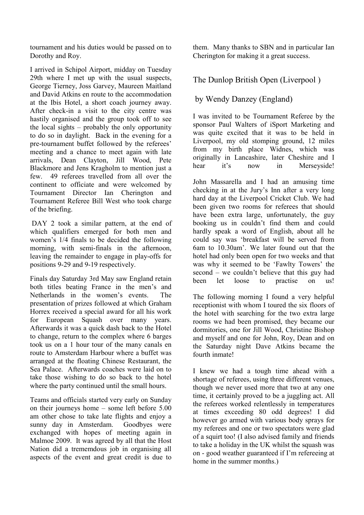tournament and his duties would be passed on to Dorothy and Roy.

I arrived in Schipol Airport, midday on Tuesday 29th where I met up with the usual suspects, George Tierney, Joss Garvey, Maureen Maitland and David Atkins en route to the accommodation at the Ibis Hotel, a short coach journey away. After check-in a visit to the city centre was hastily organised and the group took off to see the local sights – probably the only opportunity to do so in daylight. Back in the evening for a pre-tournament buffet followed by the referees' meeting and a chance to meet again with late arrivals, Dean Clayton, Jill Wood, Pete Blackmore and Jens Kragholm to mention just a few. 49 referees travelled from all over the continent to officiate and were welcomed by Tournament Director Ian Cherington and Tournament Referee Bill West who took charge of the briefing.

DAY 2 took a similar pattern, at the end of which qualifiers emerged for both men and women's 1/4 finals to be decided the following morning, with semi-finals in the afternoon, leaving the remainder to engage in play-offs for positions 9-29 and 9-19 respectively.

Finals day Saturday 3rd May saw England retain both titles beating France in the men's and Netherlands in the women's events. The presentation of prizes followed at which Graham Horrex received a special award for all his work for European Squash over many years. Afterwards it was a quick dash back to the Hotel to change, return to the complex where 6 barges took us on a 1 hour tour of the many canals en route to Amsterdam Harbour where a buffet was arranged at the floating Chinese Restaurant, the Sea Palace. Afterwards coaches were laid on to take those wishing to do so back to the hotel where the party continued until the small hours.

Teams and officials started very early on Sunday on their journeys home – some left before 5.00 am other chose to take late flights and enjoy a sunny day in Amsterdam. Goodbyes were exchanged with hopes of meeting again in Malmoe 2009. It was agreed by all that the Host Nation did a trememdous job in organising all aspects of the event and great credit is due to

them. Many thanks to SBN and in particular Ian Cherington for making it a great success.

## The Dunlop British Open (Liverpool )

by Wendy Danzey (England)

I was invited to be Tournament Referee by the sponsor Paul Walters of iSport Marketing and was quite excited that it was to be held in Liverpool, my old stomping ground, 12 miles from my birth place Widnes, which was originally in Lancashire, later Cheshire and I hear it's now in Merseyside!

John Massarella and I had an amusing time checking in at the Jury's Inn after a very long hard day at the Liverpool Cricket Club. We had been given two rooms for referees that should have been extra large, unfortunately, the guy booking us in couldn't find them and could hardly speak a word of English, about all he could say was 'breakfast will be served from 6am to 10.30am'. We later found out that the hotel had only been open for two weeks and that was why it seemed to be 'Fawlty Towers' the second – we couldn't believe that this guy had been let loose to practise on us!

The following morning I found a very helpful receptionist with whom I toured the six floors of the hotel with searching for the two extra large rooms we had been promised, they became our dormitories, one for Jill Wood, Christine Bishop and myself and one for John, Roy, Dean and on the Saturday night Dave Atkins became the fourth inmate!

I knew we had a tough time ahead with a shortage of referees, using three different venues, though we never used more that two at any one time, it certainly proved to be a juggling act. All the referees worked relentlessly in temperatures at times exceeding 80 odd degrees! I did however go armed with various body sprays for my referees and one or two spectators were glad of a squirt too! (I also advised family and friends to take a holiday in the UK whilst the squash was on - good weather guaranteed if I'm refereeing at home in the summer months.)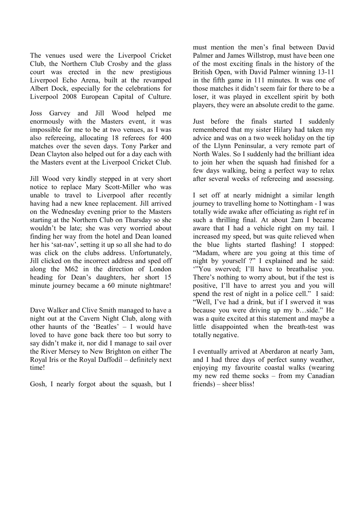The venues used were the Liverpool Cricket Club, the Northern Club Crosby and the glass court was erected in the new prestigious Liverpool Echo Arena, built at the revamped Albert Dock, especially for the celebrations for Liverpool 2008 European Capital of Culture.

Joss Garvey and Jill Wood helped me enormously with the Masters event, it was impossible for me to be at two venues, as I was also refereeing, allocating 18 referees for 400 matches over the seven days. Tony Parker and Dean Clayton also helped out for a day each with the Masters event at the Liverpool Cricket Club.

Jill Wood very kindly stepped in at very short notice to replace Mary Scott-Miller who was unable to travel to Liverpool after recently having had a new knee replacement. Jill arrived on the Wednesday evening prior to the Masters starting at the Northern Club on Thursday so she wouldn't be late; she was very worried about finding her way from the hotel and Dean loaned her his 'sat-nav', setting it up so all she had to do was click on the clubs address. Unfortunately, Jill clicked on the incorrect address and sped off along the M62 in the direction of London heading for Dean's daughters, her short 15 minute journey became a 60 minute nightmare!

Dave Walker and Clive Smith managed to have a night out at the Cavern Night Club, along with other haunts of the 'Beatles' – I would have loved to have gone back there too but sorry to say didn't make it, nor did I manage to sail over the River Mersey to New Brighton on either The Royal Iris or the Royal Daffodil – definitely next time!

Gosh, I nearly forgot about the squash, but I

must mention the men's final between David Palmer and James Willstrop, must have been one of the most exciting finals in the history of the British Open, with David Palmer winning 13-11 in the fifth game in 111 minutes. It was one of those matches it didn't seem fair for there to be a loser, it was played in excellent spirit by both players, they were an absolute credit to the game.

Just before the finals started I suddenly remembered that my sister Hilary had taken my advice and was on a two week holiday on the tip of the Llynn Peninsular, a very remote part of North Wales. So I suddenly had the brilliant idea to join her when the squash had finished for a few days walking, being a perfect way to relax after several weeks of refereeing and assessing.

I set off at nearly midnight a similar length journey to travelling home to Nottingham - I was totally wide awake after officiating as right ref in such a thrilling final. At about 2am I became aware that I had a vehicle right on my tail. I increased my speed, but was quite relieved when the blue lights started flashing! I stopped: "Madam, where are you going at this time of night by yourself ?" I explained and he said: '"You swerved; I'll have to breathalise you. There's nothing to worry about, but if the test is positive, I'll have to arrest you and you will spend the rest of night in a police cell." I said: "Well, I've had a drink, but if I swerved it was because you were driving up my b…side." He was a quite excited at this statement and maybe a little disappointed when the breath-test was totally negative.

I eventually arrived at Aberdaron at nearly 3am, and I had three days of perfect sunny weather, enjoying my favourite coastal walks (wearing my new red theme socks – from my Canadian friends) – sheer bliss!